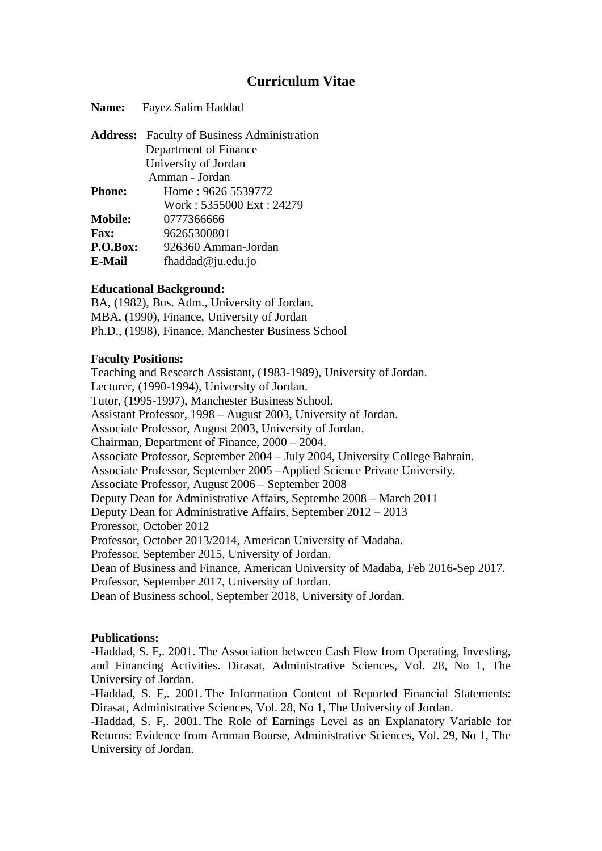# **Curriculum Vitae**

| Name:           | Fayez Salim Haddad                        |
|-----------------|-------------------------------------------|
| <b>Address:</b> | <b>Faculty of Business Administration</b> |
|                 | Department of Finance                     |
|                 | University of Jordan                      |
|                 | Amman - Jordan                            |
| <b>Phone:</b>   | Home: 9626 5539772                        |
|                 | Work: 5355000 Ext: 24279                  |
| Mobile:         | 0777366666                                |
| <b>Fax:</b>     | 96265300801                               |
| P.O.Box:        | 926360 Amman-Jordan                       |
| E-Mail          | fhaddad $@$ ju.edu.jo                     |
|                 |                                           |

# **Educational Background:**

BA, (1982), Bus. Adm., University of Jordan. MBA, (1990), Finance, University of Jordan Ph.D., (1998), Finance, Manchester Business School

#### **Faculty Positions:**

Teaching and Research Assistant, (1983-1989), University of Jordan. Lecturer, (1990-1994), University of Jordan. Tutor, (1995-1997), Manchester Business School. Assistant Professor, 1998 – August 2003, University of Jordan. Associate Professor, August 2003, University of Jordan. Chairman, Department of Finance, 2000 – 2004. Associate Professor, September 2004 – July 2004, University College Bahrain. Associate Professor, September 2005 –Applied Science Private University. Associate Professor, August 2006 – September 2008 Deputy Dean for Administrative Affairs, Septembe 2008 – March 2011 Deputy Dean for Administrative Affairs, September 2012 – 2013 Proressor, October 2012 Professor, October 2013/2014, American University of Madaba. Professor, September 2015, University of Jordan. Dean of Business and Finance, American University of Madaba, Feb 2016-Sep 2017. Professor, September 2017, University of Jordan. Dean of Business school, September 2018, University of Jordan.

#### **Publications:**

-Haddad, S. F,. 2001. The Association between Cash Flow from Operating, Investing, and Financing Activities. Dirasat, Administrative Sciences, Vol. 28, No 1, The University of Jordan.

-Haddad, S. F,. 2001. The Information Content of Reported Financial Statements: Dirasat, Administrative Sciences, Vol. 28, No 1, The University of Jordan.

-Haddad, S. F,. 2001. The Role of Earnings Level as an Explanatory Variable for Returns: Evidence from Amman Bourse, Administrative Sciences, Vol. 29, No 1, The University of Jordan.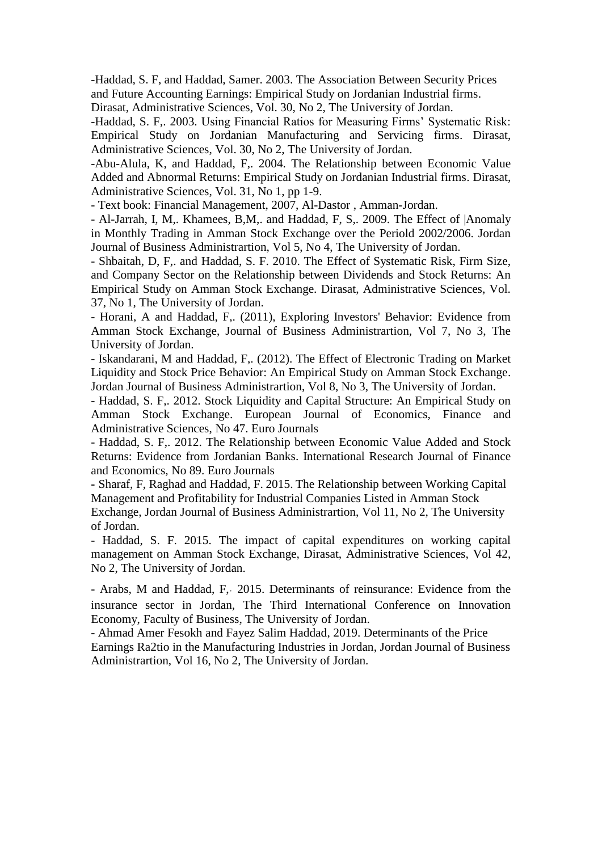-Haddad, S. F, and Haddad, Samer. 2003. The Association Between Security Prices and Future Accounting Earnings: Empirical Study on Jordanian Industrial firms.

Dirasat, Administrative Sciences, Vol. 30, No 2, The University of Jordan.

-Haddad, S. F,. 2003. Using Financial Ratios for Measuring Firms' Systematic Risk: Empirical Study on Jordanian Manufacturing and Servicing firms. Dirasat, Administrative Sciences, Vol. 30, No 2, The University of Jordan.

-Abu-Alula, K, and Haddad, F,. 2004. The Relationship between Economic Value Added and Abnormal Returns: Empirical Study on Jordanian Industrial firms. Dirasat, Administrative Sciences, Vol. 31, No 1, pp 1-9.

- Text book: Financial Management, 2007, Al-Dastor , Amman-Jordan.

- Al-Jarrah, I, M,. Khamees, B,M,. and Haddad, F, S,. 2009. The Effect of |Anomaly in Monthly Trading in Amman Stock Exchange over the Periold 2002/2006. Jordan Journal of Business Administrartion, Vol 5, No 4, The University of Jordan.

- Shbaitah, D, F,. and Haddad, S. F. 2010. The Effect of Systematic Risk, Firm Size, and Company Sector on the Relationship between Dividends and Stock Returns: An Empirical Study on Amman Stock Exchange. Dirasat, Administrative Sciences, Vol. 37, No 1, The University of Jordan.

- Horani, A and Haddad, F,. (2011), Exploring Investors' Behavior: Evidence from Amman Stock Exchange, Journal of Business Administrartion, Vol 7, No 3, The University of Jordan.

- Iskandarani, M and Haddad, F,. (2012). The Effect of Electronic Trading on Market Liquidity and Stock Price Behavior: An Empirical Study on Amman Stock Exchange. Jordan Journal of Business Administrartion, Vol 8, No 3, The University of Jordan.

- Haddad, S. F,. 2012. Stock Liquidity and Capital Structure: An Empirical Study on Amman Stock Exchange. European Journal of Economics, Finance and Administrative Sciences, No 47. Euro Journals

- Haddad, S. F,. 2012. The Relationship between Economic Value Added and Stock Returns: Evidence from Jordanian Banks. International Research Journal of Finance and Economics, No 89. Euro Journals

**-** Sharaf, F, Raghad and Haddad, F. 2015. The Relationship between Working Capital Management and Profitability for Industrial Companies Listed in Amman Stock Exchange, Jordan Journal of Business Administrartion, Vol 11, No 2, The University of Jordan.

- Haddad, S. F. 2015. The impact of capital expenditures on working capital management on Amman Stock Exchange, Dirasat, Administrative Sciences, Vol 42, No 2, The University of Jordan.

- Arabs, M and Haddad, F, 2015. Determinants of reinsurance: Evidence from the insurance sector in Jordan, The Third International Conference on Innovation Economy, Faculty of Business, The University of Jordan.

- Ahmad Amer Fesokh and Fayez Salim Haddad, 2019. Determinants of the Price Earnings Ra2tio in the Manufacturing Industries in Jordan, Jordan Journal of Business Administrartion, Vol 16, No 2, The University of Jordan.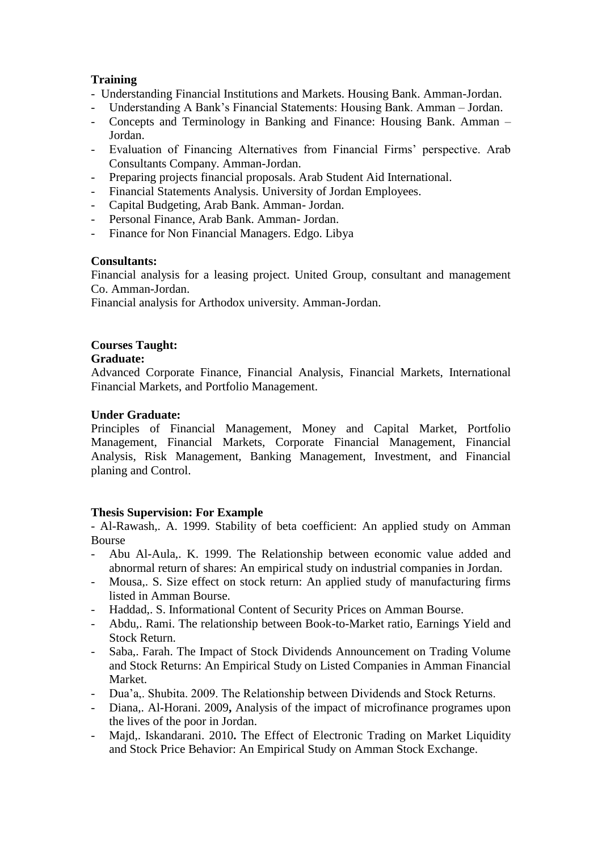# **Training**

- Understanding Financial Institutions and Markets. Housing Bank. Amman-Jordan.
- Understanding A Bank's Financial Statements: Housing Bank. Amman Jordan.
- Concepts and Terminology in Banking and Finance: Housing Bank. Amman Jordan.
- Evaluation of Financing Alternatives from Financial Firms' perspective. Arab Consultants Company. Amman-Jordan.
- Preparing projects financial proposals. Arab Student Aid International.
- Financial Statements Analysis. University of Jordan Employees.
- Capital Budgeting, Arab Bank. Amman- Jordan.
- Personal Finance, Arab Bank. Amman- Jordan.
- Finance for Non Financial Managers. Edgo. Libya

# **Consultants:**

Financial analysis for a leasing project. United Group, consultant and management Co. Amman-Jordan.

Financial analysis for Arthodox university. Amman-Jordan.

# **Courses Taught:**

#### **Graduate:**

Advanced Corporate Finance, Financial Analysis, Financial Markets, International Financial Markets, and Portfolio Management.

# **Under Graduate:**

Principles of Financial Management, Money and Capital Market, Portfolio Management, Financial Markets, Corporate Financial Management, Financial Analysis, Risk Management, Banking Management, Investment, and Financial planing and Control.

# **Thesis Supervision: For Example**

- Al-Rawash,. A. 1999. Stability of beta coefficient: An applied study on Amman Bourse

- Abu Al-Aula,. K. 1999. The Relationship between economic value added and abnormal return of shares: An empirical study on industrial companies in Jordan.
- Mousa,. S. Size effect on stock return: An applied study of manufacturing firms listed in Amman Bourse.
- Haddad,. S. Informational Content of Security Prices on Amman Bourse.
- Abdu,. Rami. The relationship between Book-to-Market ratio, Earnings Yield and Stock Return.
- Saba,. Farah. The Impact of Stock Dividends Announcement on Trading Volume and Stock Returns: An Empirical Study on Listed Companies in Amman Financial Market.
- Dua'a,. Shubita. 2009. The Relationship between Dividends and Stock Returns.
- Diana,. Al-Horani. 2009**,** Analysis of the impact of microfinance programes upon the lives of the poor in Jordan.
- Majd,. Iskandarani. 2010**.** The Effect of Electronic Trading on Market Liquidity and Stock Price Behavior: An Empirical Study on Amman Stock Exchange.